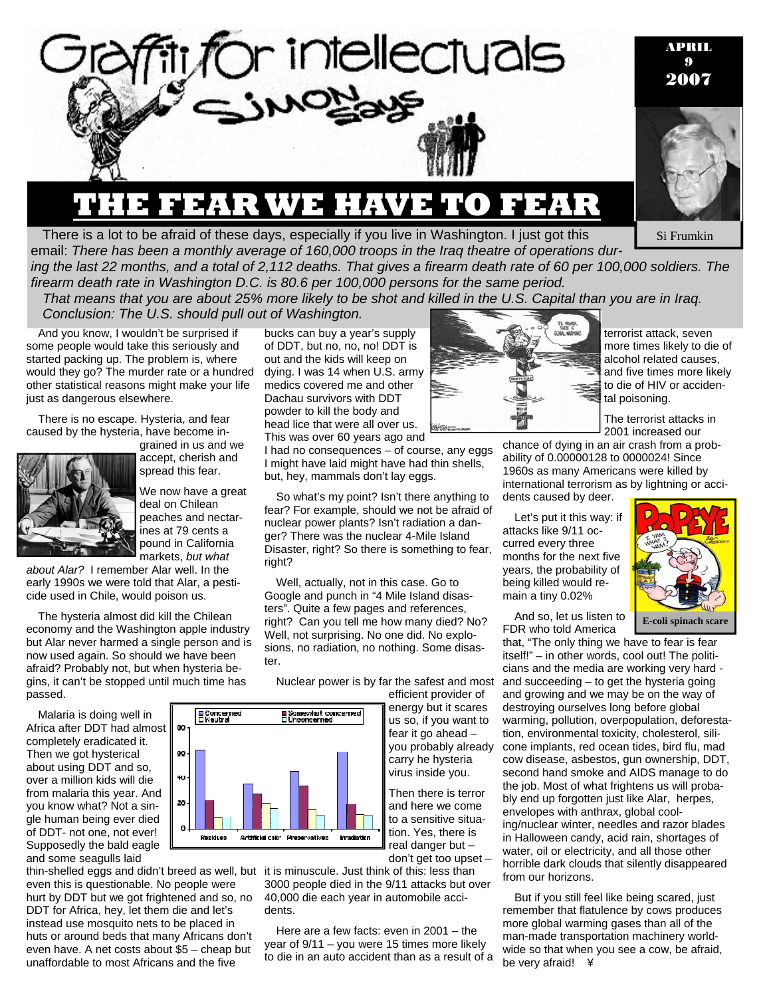

# **THE FEAR WE HAVE TO FEAR**

Si Frumkin

APRIL  $\boldsymbol{9}$ 2007

There is a lot to be afraid of these days, especially if you live in Washington. I just got this email: *There has been a monthly average of 160,000 troops in the Iraq theatre of operations during the last 22 months, and a total of 2,112 deaths. That gives a firearm death rate of 60 per 100,000 soldiers. The firearm death rate in Washington D.C. is 80.6 per 100,000 persons for the same period.* 

*That means that you are about 25% more likely to be shot and killed in the U.S. Capital than you are in Iraq. Conclusion: The U.S. should pull out of Washington.* 

And you know, I wouldn't be surprised if some people would take this seriously and started packing up. The problem is, where would they go? The murder rate or a hundred other statistical reasons might make your life just as dangerous elsewhere.

There is no escape. Hysteria, and fear caused by the hysteria, have become in-



grained in us and we accept, cherish and spread this fear.

We now have a great deal on Chilean peaches and nectarines at 79 cents a pound in California markets, *but what* 

Oconcerned<br>ONeutral

Residues

80

œ 40 æ

*about Alar?* I remember Alar well. In the early 1990s we were told that Alar, a pesticide used in Chile, would poison us.

The hysteria almost did kill the Chilean economy and the Washington apple industry but Alar never harmed a single person and is now used again. So should we have been afraid? Probably not, but when hysteria begins, it can't be stopped until much time has passed.

Malaria is doing well in Africa after DDT had almost completely eradicated it. Then we got hysterical about using DDT and so, over a million kids will die from malaria this year. And you know what? Not a single human being ever died of DDT- not one, not ever! Supposedly the bald eagle and some seagulls laid

thin-shelled eggs and didn't breed as well, but it is minuscule. Just think of this: less than even this is questionable. No people were hurt by DDT but we got frightened and so, no DDT for Africa, hey, let them die and let's instead use mosquito nets to be placed in huts or around beds that many Africans don't even have. A net costs about \$5 – cheap but unaffordable to most Africans and the five

bucks can buy a year's supply of DDT, but no, no, no! DDT is out and the kids will keep on dying. I was 14 when U.S. army medics covered me and other Dachau survivors with DDT powder to kill the body and head lice that were all over us. This was over 60 years ago and

I had no consequences – of course, any eggs I might have laid might have had thin shells, but, hey, mammals don't lay eggs.

So what's my point? Isn't there anything to fear? For example, should we not be afraid of nuclear power plants? Isn't radiation a danger? There was the nuclear 4-Mile Island Disaster, right? So there is something to fear, right?

Well, actually, not in this case. Go to Google and punch in "4 Mile Island disasters". Quite a few pages and references, right? Can you tell me how many died? No? Well, not surprising. No one did. No explosions, no radiation, no nothing. Some disaster.

Nuclear power is by far the safest and most

■ Somewhat concerned<br>□ Unconcerned

Preservatives

Artificial coltr

efficient provider of energy but it scares us so, if you want to fear it go ahead – you probably already carry he hysteria virus inside you.

Then there is terror and here we come to a sensitive situation. Yes, there is real danger but – don't get too upset –

3000 people died in the 9/11 attacks but over 40,000 die each year in automobile accidents.

Irrediation

Here are a few facts: even in 2001 – the year of 9/11 – you were 15 times more likely to die in an auto accident than as a result of a



terrorist attack, seven more times likely to die of alcohol related causes, and five times more likely to die of HIV or accidental poisoning.

The terrorist attacks in 2001 increased our

chance of dying in an air crash from a probability of 0.00000128 to 0000024! Since 1960s as many Americans were killed by international terrorism as by lightning or accidents caused by deer.

Let's put it this way: if attacks like 9/11 occurred every three months for the next five years, the probability of being killed would remain a tiny 0.02%

And so, let us listen to FDR who told America

that, "The only thing we have to fear is fear itself!" – in other words, cool out! The politicians and the media are working very hard and succeeding – to get the hysteria going and growing and we may be on the way of destroying ourselves long before global warming, pollution, overpopulation, deforestation, environmental toxicity, cholesterol, silicone implants, red ocean tides, bird flu, mad cow disease, asbestos, gun ownership, DDT, second hand smoke and AIDS manage to do the job. Most of what frightens us will probably end up forgotten just like Alar, herpes, envelopes with anthrax, global cooling/nuclear winter, needles and razor blades in Halloween candy, acid rain, shortages of water, oil or electricity, and all those other horrible dark clouds that silently disappeared from our horizons.

But if you still feel like being scared, just remember that flatulence by cows produces more global warming gases than all of the man-made transportation machinery worldwide so that when you see a cow, be afraid, be very afraid! ¥

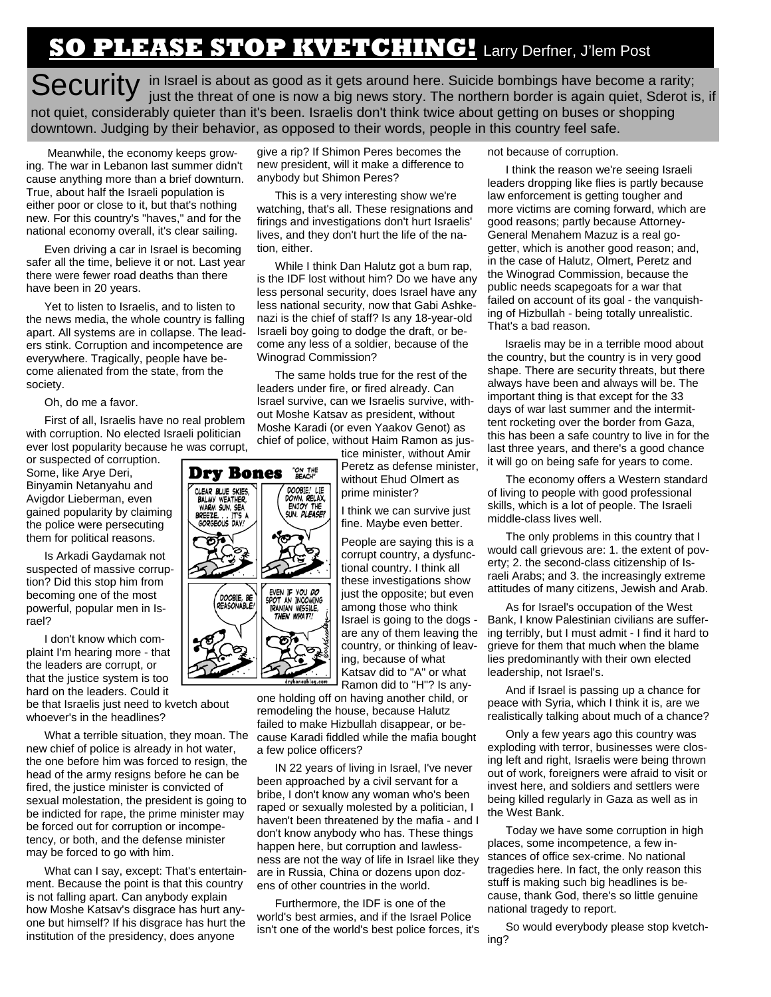## **SO PLEASE STOP KVETCHING!** Larry Derfner, J'lem Post

Security in Israel is about as good as it gets around here. Suicide bombings have become a rarity;<br>Security just the threat of one is now a big news story. The northern border is again quiet, Sderot is, if not quiet, considerably quieter than it's been. Israelis don't think twice about getting on buses or shopping downtown. Judging by their behavior, as opposed to their words, people in this country feel safe.

 Meanwhile, the economy keeps growing. The war in Lebanon last summer didn't cause anything more than a brief downturn. True, about half the Israeli population is either poor or close to it, but that's nothing new. For this country's "haves," and for the national economy overall, it's clear sailing.

Even driving a car in Israel is becoming safer all the time, believe it or not. Last year there were fewer road deaths than there have been in 20 years.

Yet to listen to Israelis, and to listen to the news media, the whole country is falling apart. All systems are in collapse. The leaders stink. Corruption and incompetence are everywhere. Tragically, people have become alienated from the state, from the society.

#### Oh, do me a favor.

First of all, Israelis have no real problem with corruption. No elected Israeli politician ever lost popularity because he was corrupt,

or suspected of corruption. Some, like Arye Deri, Binyamin Netanyahu and Avigdor Lieberman, even gained popularity by claiming the police were persecuting them for political reasons.

Is Arkadi Gaydamak not suspected of massive corruption? Did this stop him from becoming one of the most powerful, popular men in Israel?

I don't know which complaint I'm hearing more - that the leaders are corrupt, or that the justice system is too hard on the leaders. Could it

be that Israelis just need to kvetch about whoever's in the headlines?

What a terrible situation, they moan. The new chief of police is already in hot water, the one before him was forced to resign, the head of the army resigns before he can be fired, the justice minister is convicted of sexual molestation, the president is going to be indicted for rape, the prime minister may be forced out for corruption or incompetency, or both, and the defense minister may be forced to go with him.

What can I say, except: That's entertainment. Because the point is that this country is not falling apart. Can anybody explain how Moshe Katsav's disgrace has hurt anyone but himself? If his disgrace has hurt the institution of the presidency, does anyone

give a rip? If Shimon Peres becomes the new president, will it make a difference to anybody but Shimon Peres?

This is a very interesting show we're watching, that's all. These resignations and firings and investigations don't hurt Israelis' lives, and they don't hurt the life of the nation, either.

While I think Dan Halutz got a bum rap. is the IDF lost without him? Do we have any less personal security, does Israel have any less national security, now that Gabi Ashkenazi is the chief of staff? Is any 18-year-old Israeli boy going to dodge the draft, or become any less of a soldier, because of the Winograd Commission?

The same holds true for the rest of the leaders under fire, or fired already. Can Israel survive, can we Israelis survive, without Moshe Katsav as president, without Moshe Karadi (or even Yaakov Genot) as chief of police, without Haim Ramon as jus-

tice minister, without Amir Peretz as defense minister, without Ehud Olmert as prime minister?

I think we can survive just fine. Maybe even better.

People are saying this is a corrupt country, a dysfunctional country. I think all these investigations show just the opposite; but even among those who think Israel is going to the dogs are any of them leaving the country, or thinking of leaving, because of what Katsav did to "A" or what Ramon did to "H"? Is any-

one holding off on having another child, or remodeling the house, because Halutz failed to make Hizbullah disappear, or because Karadi fiddled while the mafia bought a few police officers?

IN 22 years of living in Israel, I've never been approached by a civil servant for a bribe, I don't know any woman who's been raped or sexually molested by a politician, I haven't been threatened by the mafia - and I don't know anybody who has. These things happen here, but corruption and lawlessness are not the way of life in Israel like they are in Russia, China or dozens upon dozens of other countries in the world.

Furthermore, the IDF is one of the world's best armies, and if the Israel Police isn't one of the world's best police forces, it's not because of corruption.

I think the reason we're seeing Israeli leaders dropping like flies is partly because law enforcement is getting tougher and more victims are coming forward, which are good reasons; partly because Attorney-General Menahem Mazuz is a real gogetter, which is another good reason; and, in the case of Halutz, Olmert, Peretz and the Winograd Commission, because the public needs scapegoats for a war that failed on account of its goal - the vanquishing of Hizbullah - being totally unrealistic. That's a bad reason.

Israelis may be in a terrible mood about the country, but the country is in very good shape. There are security threats, but there always have been and always will be. The important thing is that except for the 33 days of war last summer and the intermittent rocketing over the border from Gaza, this has been a safe country to live in for the last three years, and there's a good chance it will go on being safe for years to come.

The economy offers a Western standard of living to people with good professional skills, which is a lot of people. The Israeli middle-class lives well.

The only problems in this country that I would call grievous are: 1. the extent of poverty; 2. the second-class citizenship of Israeli Arabs; and 3. the increasingly extreme attitudes of many citizens, Jewish and Arab.

As for Israel's occupation of the West Bank, I know Palestinian civilians are suffering terribly, but I must admit - I find it hard to grieve for them that much when the blame lies predominantly with their own elected leadership, not Israel's.

And if Israel is passing up a chance for peace with Syria, which I think it is, are we realistically talking about much of a chance?

Only a few years ago this country was exploding with terror, businesses were closing left and right, Israelis were being thrown out of work, foreigners were afraid to visit or invest here, and soldiers and settlers were being killed regularly in Gaza as well as in the West Bank.

Today we have some corruption in high places, some incompetence, a few instances of office sex-crime. No national tragedies here. In fact, the only reason this stuff is making such big headlines is because, thank God, there's so little genuine national tragedy to report.

So would everybody please stop kvetching?

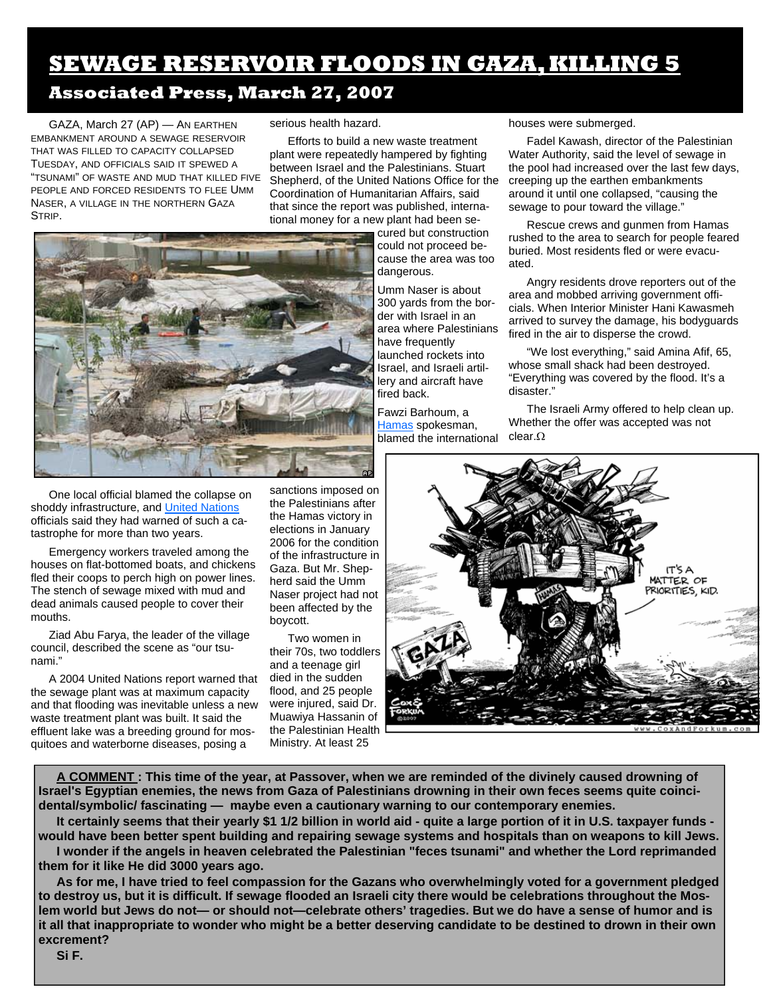## **SEWAGE RESERVOIR FLOODS IN GAZA, KILLING 5**

### **Associated Press, March 27, 2007**

GAZA, March 27 (AP) — AN EARTHEN EMBANKMENT AROUND A SEWAGE RESERVOIR THAT WAS FILLED TO CAPACITY COLLAPSED TUESDAY, AND OFFICIALS SAID IT SPEWED A "TSUNAMI" OF WASTE AND MUD THAT KILLED FIVE PEOPLE AND FORCED RESIDENTS TO FLEE UMM NASER, A VILLAGE IN THE NORTHERN GAZA STRIP.

serious health hazard.

Efforts to build a new waste treatment plant were repeatedly hampered by fighting between Israel and the Palestinians. Stuart Shepherd, of the United Nations Office for the Coordination of Humanitarian Affairs, said that since the report was published, international money for a new plant had been se-



One local official blamed the collapse on shoddy infrastructure, and United Nations officials said they had warned of such a catastrophe for more than two years.

Emergency workers traveled among the houses on flat-bottomed boats, and chickens fled their coops to perch high on power lines. The stench of sewage mixed with mud and dead animals caused people to cover their mouths.

Ziad Abu Farya, the leader of the village council, described the scene as "our tsunami."

A 2004 United Nations report warned that the sewage plant was at maximum capacity and that flooding was inevitable unless a new waste treatment plant was built. It said the effluent lake was a breeding ground for mosquitoes and waterborne diseases, posing a

sanctions imposed on the Palestinians after the Hamas victory in elections in January 2006 for the condition of the infrastructure in Gaza. But Mr. Shepherd said the Umm Naser project had not been affected by the boycott.

Two women in their 70s, two toddlers and a teenage girl died in the sudden flood, and 25 people were injured, said Dr. Muawiya Hassanin of the Palestinian Health Ministry. At least 25

houses were submerged.

Fadel Kawash, director of the Palestinian Water Authority, said the level of sewage in the pool had increased over the last few days, creeping up the earthen embankments around it until one collapsed, "causing the sewage to pour toward the village."

Rescue crews and gunmen from Hamas rushed to the area to search for people feared buried. Most residents fled or were evacuated.

Angry residents drove reporters out of the area and mobbed arriving government officials. When Interior Minister Hani Kawasmeh arrived to survey the damage, his bodyguards fired in the air to disperse the crowd.

"We lost everything," said Amina Afif, 65, whose small shack had been destroyed. "Everything was covered by the flood. It's a disaster."

The Israeli Army offered to help clean up. Whether the offer was accepted was not clear.Ω



**A COMMENT : This time of the year, at Passover, when we are reminded of the divinely caused drowning of Israel's Egyptian enemies, the news from Gaza of Palestinians drowning in their own feces seems quite coincidental/symbolic/ fascinating — maybe even a cautionary warning to our contemporary enemies.** 

**It certainly seems that their yearly \$1 1/2 billion in world aid - quite a large portion of it in U.S. taxpayer funds would have been better spent building and repairing sewage systems and hospitals than on weapons to kill Jews. I wonder if the angels in heaven celebrated the Palestinian "feces tsunami" and whether the Lord reprimanded them for it like He did 3000 years ago.** 

**As for me, I have tried to feel compassion for the Gazans who overwhelmingly voted for a government pledged to destroy us, but it is difficult. If sewage flooded an Israeli city there would be celebrations throughout the Moslem world but Jews do not— or should not—celebrate others' tragedies. But we do have a sense of humor and is it all that inappropriate to wonder who might be a better deserving candidate to be destined to drown in their own excrement?** 

**Si F.**